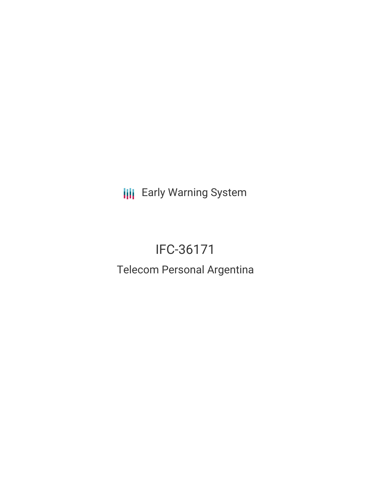**III** Early Warning System

# IFC-36171

## Telecom Personal Argentina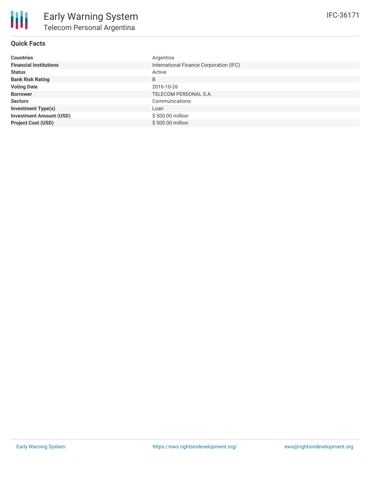#### **Quick Facts**

| <b>Countries</b>               | Argentina                               |
|--------------------------------|-----------------------------------------|
| <b>Financial Institutions</b>  | International Finance Corporation (IFC) |
| <b>Status</b>                  | Active                                  |
| <b>Bank Risk Rating</b>        | B                                       |
| <b>Voting Date</b>             | 2016-10-26                              |
| <b>Borrower</b>                | TELECOM PERSONAL S.A.                   |
| <b>Sectors</b>                 | Communications                          |
| <b>Investment Type(s)</b>      | Loan                                    |
| <b>Investment Amount (USD)</b> | \$500.00 million                        |
| <b>Project Cost (USD)</b>      | \$500,00 million                        |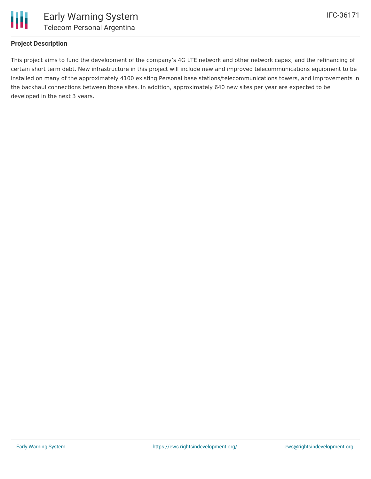

#### **Project Description**

This project aims to fund the development of the company's 4G LTE network and other network capex, and the refinancing of certain short term debt. New infrastructure in this project will include new and improved telecommunications equipment to be installed on many of the approximately 4100 existing Personal base stations/telecommunications towers, and improvements in the backhaul connections between those sites. In addition, approximately 640 new sites per year are expected to be developed in the next 3 years.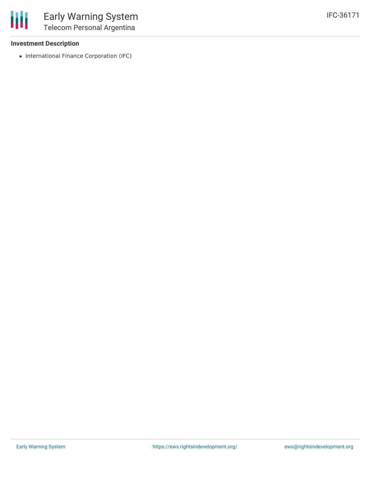

#### **Investment Description**

• International Finance Corporation (IFC)